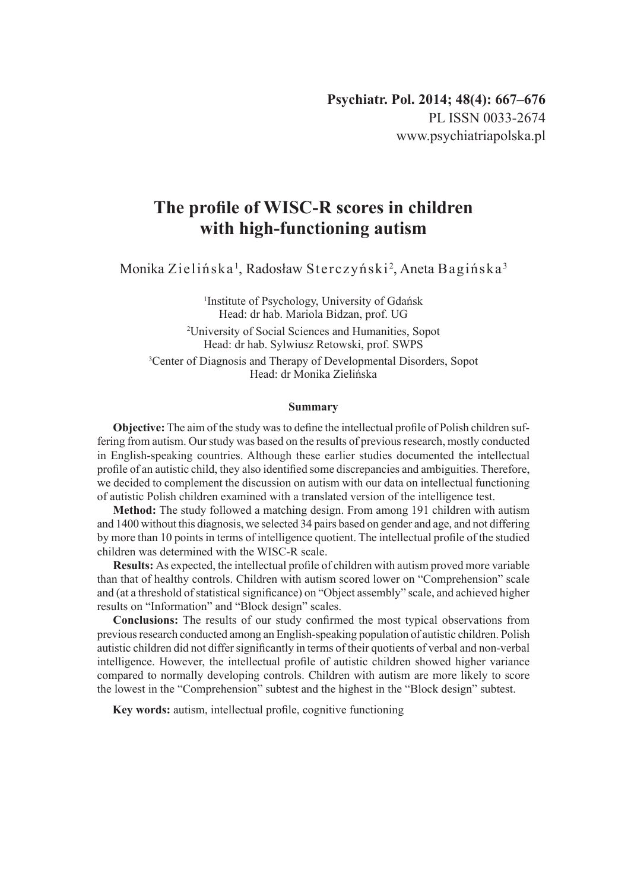# **The profile of WISC-R scores in children with high-functioning autism**

Monika Zielińska<sup>1</sup>, Radosław Sterczyński<sup>2</sup>, Aneta Bagińska<sup>3</sup>

1 Institute of Psychology, University of Gdańsk Head: dr hab. Mariola Bidzan, prof. UG

2 University of Social Sciences and Humanities, Sopot Head: dr hab. Sylwiusz Retowski, prof. SWPS

3 Center of Diagnosis and Therapy of Developmental Disorders, Sopot Head: dr Monika Zielińska

#### **Summary**

**Objective:** The aim of the study was to define the intellectual profile of Polish children suffering from autism. Our study was based on the results of previous research, mostly conducted in English-speaking countries. Although these earlier studies documented the intellectual profile of an autistic child, they also identified some discrepancies and ambiguities. Therefore, we decided to complement the discussion on autism with our data on intellectual functioning of autistic Polish children examined with a translated version of the intelligence test.

**Method:** The study followed a matching design. From among 191 children with autism and 1400 without this diagnosis, we selected 34 pairs based on gender and age, and not differing by more than 10 points in terms of intelligence quotient. The intellectual profile of the studied children was determined with the WISC-R scale.

**Results:** As expected, the intellectual profile of children with autism proved more variable than that of healthy controls. Children with autism scored lower on "Comprehension" scale and (at a threshold of statistical significance) on "Object assembly" scale, and achieved higher results on "Information" and "Block design" scales.

**Conclusions:** The results of our study confirmed the most typical observations from previous research conducted among an English-speaking population of autistic children. Polish autistic children did not differ significantly in terms of their quotients of verbal and non-verbal intelligence. However, the intellectual profile of autistic children showed higher variance compared to normally developing controls. Children with autism are more likely to score the lowest in the "Comprehension" subtest and the highest in the "Block design" subtest.

**Key words:** autism, intellectual profile, cognitive functioning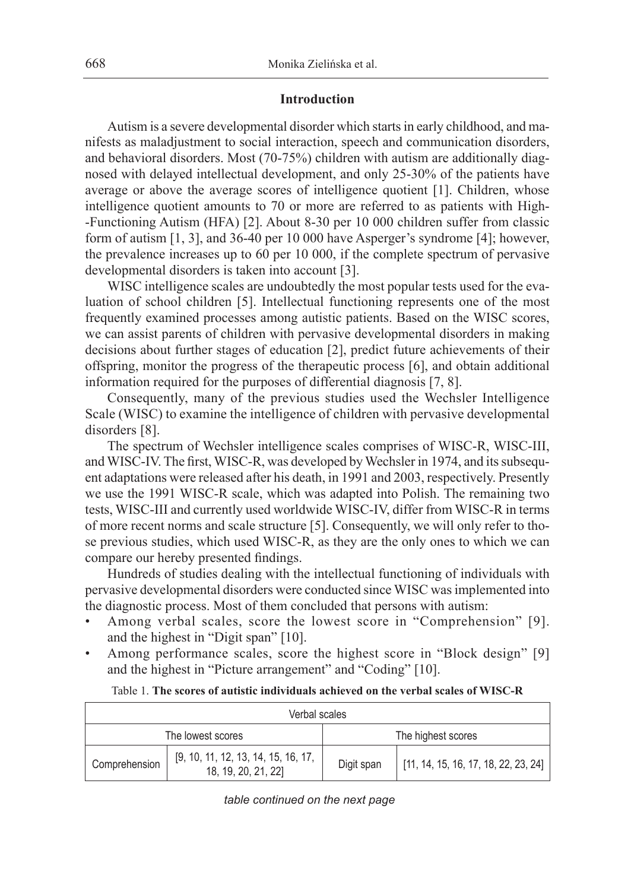# **Introduction**

Autism is a severe developmental disorder which starts in early childhood, and manifests as maladjustment to social interaction, speech and communication disorders, and behavioral disorders. Most (70-75%) children with autism are additionally diagnosed with delayed intellectual development, and only 25-30% of the patients have average or above the average scores of intelligence quotient [1]. Children, whose intelligence quotient amounts to 70 or more are referred to as patients with High- -Functioning Autism (HFA) [2]. About 8-30 per 10 000 children suffer from classic form of autism [1, 3], and 36-40 per 10 000 have Asperger's syndrome [4]; however, the prevalence increases up to 60 per 10 000, if the complete spectrum of pervasive developmental disorders is taken into account [3].

WISC intelligence scales are undoubtedly the most popular tests used for the evaluation of school children [5]. Intellectual functioning represents one of the most frequently examined processes among autistic patients. Based on the WISC scores, we can assist parents of children with pervasive developmental disorders in making decisions about further stages of education [2], predict future achievements of their offspring, monitor the progress of the therapeutic process [6], and obtain additional information required for the purposes of differential diagnosis [7, 8].

Consequently, many of the previous studies used the Wechsler Intelligence Scale (WISC) to examine the intelligence of children with pervasive developmental disorders [8].

The spectrum of Wechsler intelligence scales comprises of WISC-R, WISC-III, and WISC-IV. The first, WISC-R, was developed by Wechsler in 1974, and its subsequent adaptations were released after his death, in 1991 and 2003, respectively. Presently we use the 1991 WISC-R scale, which was adapted into Polish. The remaining two tests, WISC-III and currently used worldwide WISC-IV, differ from WISC-R in terms of more recent norms and scale structure [5]. Consequently, we will only refer to those previous studies, which used WISC-R, as they are the only ones to which we can compare our hereby presented findings.

Hundreds of studies dealing with the intellectual functioning of individuals with pervasive developmental disorders were conducted since WISC was implemented into the diagnostic process. Most of them concluded that persons with autism:

- Among verbal scales, score the lowest score in "Comprehension" [9]. and the highest in "Digit span" [10].
- Among performance scales, score the highest score in "Block design" [9] and the highest in "Picture arrangement" and "Coding" [10].

| Verbal scales |                                                            |                    |                                      |  |  |  |
|---------------|------------------------------------------------------------|--------------------|--------------------------------------|--|--|--|
|               | The lowest scores                                          | The highest scores |                                      |  |  |  |
| Comprehension | [9, 10, 11, 12, 13, 14, 15, 16, 17,<br>18, 19, 20, 21, 22] | Digit span         | [11, 14, 15, 16, 17, 18, 22, 23, 24] |  |  |  |

# Table 1. **The scores of autistic individuals achieved on the verbal scales of WISC-R**

*table continued on the next page*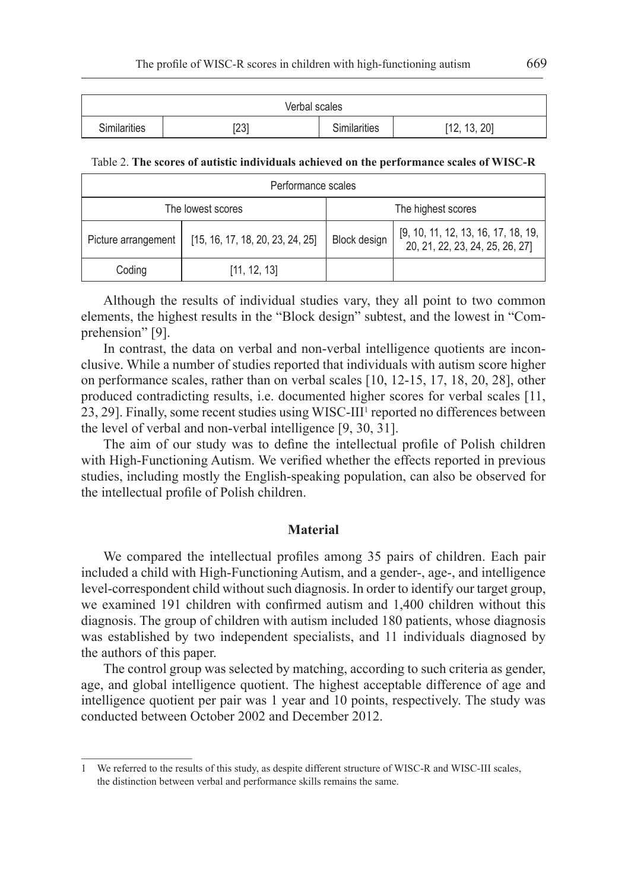| Verbal scales       |      |                          |                                                      |  |  |  |  |
|---------------------|------|--------------------------|------------------------------------------------------|--|--|--|--|
| <b>Similarities</b> | [23] | $\cdots$<br>Similarities | . 201<br>12<br>40<br>ΙZ,<br>$\overline{\phantom{a}}$ |  |  |  |  |

#### Table 2. **The scores of autistic individuals achieved on the performance scales of WISC-R**

| Performance scales  |                                  |                    |                                                                        |  |  |  |  |  |
|---------------------|----------------------------------|--------------------|------------------------------------------------------------------------|--|--|--|--|--|
|                     | The lowest scores                | The highest scores |                                                                        |  |  |  |  |  |
| Picture arrangement | [15, 16, 17, 18, 20, 23, 24, 25] | Block design       | [9, 10, 11, 12, 13, 16, 17, 18, 19,<br>20, 21, 22, 23, 24, 25, 26, 27] |  |  |  |  |  |
| Coding              | [11, 12, 13]                     |                    |                                                                        |  |  |  |  |  |

Although the results of individual studies vary, they all point to two common elements, the highest results in the "Block design" subtest, and the lowest in "Comprehension" [9].

In contrast, the data on verbal and non-verbal intelligence quotients are inconclusive. While a number of studies reported that individuals with autism score higher on performance scales, rather than on verbal scales [10, 12-15, 17, 18, 20, 28], other produced contradicting results, i.e. documented higher scores for verbal scales [11, 23, 29]. Finally, some recent studies using WISC-III<sup>1</sup> reported no differences between the level of verbal and non-verbal intelligence [9, 30, 31].

The aim of our study was to define the intellectual profile of Polish children with High-Functioning Autism. We verified whether the effects reported in previous studies, including mostly the English-speaking population, can also be observed for the intellectual profile of Polish children.

#### **Material**

We compared the intellectual profiles among 35 pairs of children. Each pair included a child with High-Functioning Autism, and a gender-, age-, and intelligence level-correspondent child without such diagnosis. In order to identify our target group, we examined 191 children with confirmed autism and 1,400 children without this diagnosis. The group of children with autism included 180 patients, whose diagnosis was established by two independent specialists, and 11 individuals diagnosed by the authors of this paper.

The control group was selected by matching, according to such criteria as gender, age, and global intelligence quotient. The highest acceptable difference of age and intelligence quotient per pair was 1 year and 10 points, respectively. The study was conducted between October 2002 and December 2012.

<sup>1</sup> We referred to the results of this study, as despite different structure of WISC-R and WISC-III scales, the distinction between verbal and performance skills remains the same.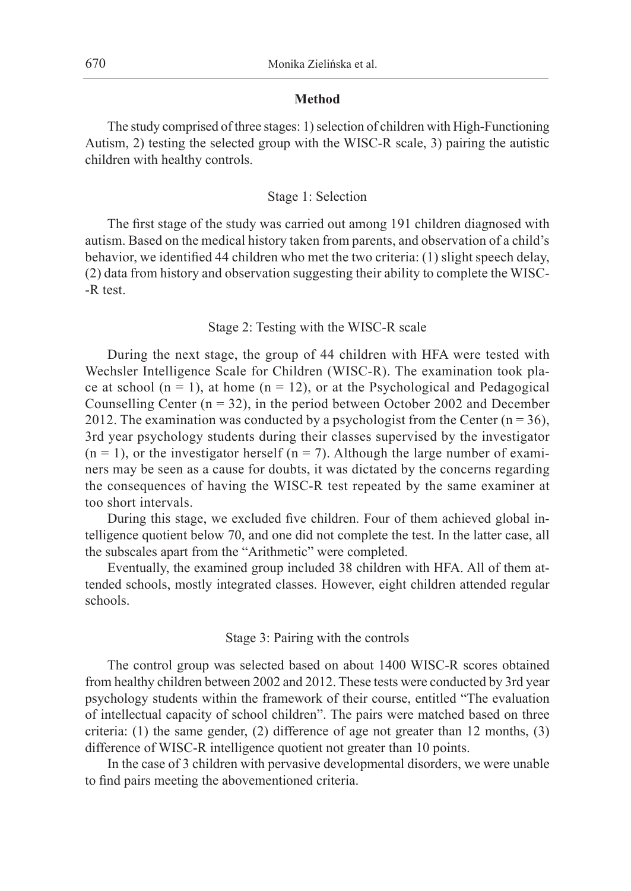#### **Method**

The study comprised of three stages: 1) selection of children with High-Functioning Autism, 2) testing the selected group with the WISC-R scale, 3) pairing the autistic children with healthy controls.

# Stage 1: Selection

The first stage of the study was carried out among 191 children diagnosed with autism. Based on the medical history taken from parents, and observation of a child's behavior, we identified 44 children who met the two criteria: (1) slight speech delay, (2) data from history and observation suggesting their ability to complete the WISC- -R test.

# Stage 2: Testing with the WISC-R scale

During the next stage, the group of 44 children with HFA were tested with Wechsler Intelligence Scale for Children (WISC-R). The examination took place at school  $(n = 1)$ , at home  $(n = 12)$ , or at the Psychological and Pedagogical Counselling Center  $(n = 32)$ , in the period between October 2002 and December 2012. The examination was conducted by a psychologist from the Center  $(n = 36)$ , 3rd year psychology students during their classes supervised by the investigator  $(n = 1)$ , or the investigator herself  $(n = 7)$ . Although the large number of examiners may be seen as a cause for doubts, it was dictated by the concerns regarding the consequences of having the WISC-R test repeated by the same examiner at too short intervals.

During this stage, we excluded five children. Four of them achieved global intelligence quotient below 70, and one did not complete the test. In the latter case, all the subscales apart from the "Arithmetic" were completed.

Eventually, the examined group included 38 children with HFA. All of them attended schools, mostly integrated classes. However, eight children attended regular schools.

## Stage 3: Pairing with the controls

The control group was selected based on about 1400 WISC-R scores obtained from healthy children between 2002 and 2012. These tests were conducted by 3rd year psychology students within the framework of their course, entitled "The evaluation of intellectual capacity of school children". The pairs were matched based on three criteria: (1) the same gender, (2) difference of age not greater than 12 months, (3) difference of WISC-R intelligence quotient not greater than 10 points.

In the case of 3 children with pervasive developmental disorders, we were unable to find pairs meeting the abovementioned criteria.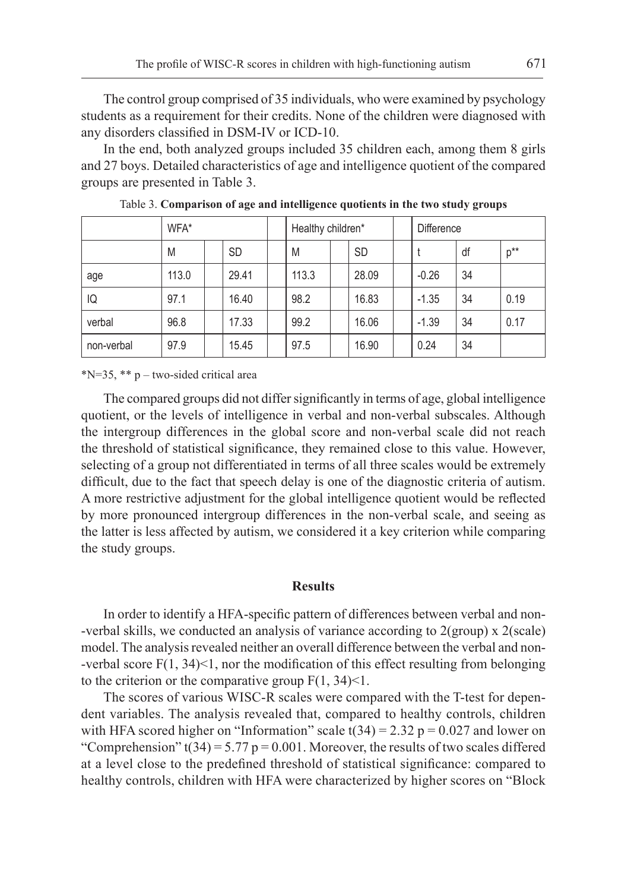The control group comprised of 35 individuals, who were examined by psychology students as a requirement for their credits. None of the children were diagnosed with any disorders classified in DSM-IV or ICD-10.

In the end, both analyzed groups included 35 children each, among them 8 girls and 27 boys. Detailed characteristics of age and intelligence quotient of the compared groups are presented in Table 3.

|            | WFA*  |           | Healthy children* |  |           | <b>Difference</b> |    |          |
|------------|-------|-----------|-------------------|--|-----------|-------------------|----|----------|
|            | M     | <b>SD</b> | M                 |  | <b>SD</b> |                   | df | $p^{**}$ |
| age        | 113.0 | 29.41     | 113.3             |  | 28.09     | $-0.26$           | 34 |          |
| IQ         | 97.1  | 16.40     | 98.2              |  | 16.83     | $-1.35$           | 34 | 0.19     |
| verbal     | 96.8  | 17.33     | 99.2              |  | 16.06     | $-1.39$           | 34 | 0.17     |
| non-verbal | 97.9  | 15.45     | 97.5              |  | 16.90     | 0.24              | 34 |          |

Table 3. **Comparison of age and intelligence quotients in the two study groups**

 $*N=35$ ,  $** p$  – two-sided critical area

The compared groups did not differ significantly in terms of age, global intelligence quotient, or the levels of intelligence in verbal and non-verbal subscales. Although the intergroup differences in the global score and non-verbal scale did not reach the threshold of statistical significance, they remained close to this value. However, selecting of a group not differentiated in terms of all three scales would be extremely difficult, due to the fact that speech delay is one of the diagnostic criteria of autism. A more restrictive adjustment for the global intelligence quotient would be reflected by more pronounced intergroup differences in the non-verbal scale, and seeing as the latter is less affected by autism, we considered it a key criterion while comparing the study groups.

#### **Results**

In order to identify a HFA-specific pattern of differences between verbal and non- -verbal skills, we conducted an analysis of variance according to 2(group) x 2(scale) model. The analysis revealed neither an overall difference between the verbal and non- -verbal score  $F(1, 34)$  < 1, nor the modification of this effect resulting from belonging to the criterion or the comparative group  $F(1, 34)$  < 1.

The scores of various WISC-R scales were compared with the T-test for dependent variables. The analysis revealed that, compared to healthy controls, children with HFA scored higher on "Information" scale  $t(34) = 2.32$  p = 0.027 and lower on "Comprehension"  $t(34) = 5.77$  p = 0.001. Moreover, the results of two scales differed at a level close to the predefined threshold of statistical significance: compared to healthy controls, children with HFA were characterized by higher scores on "Block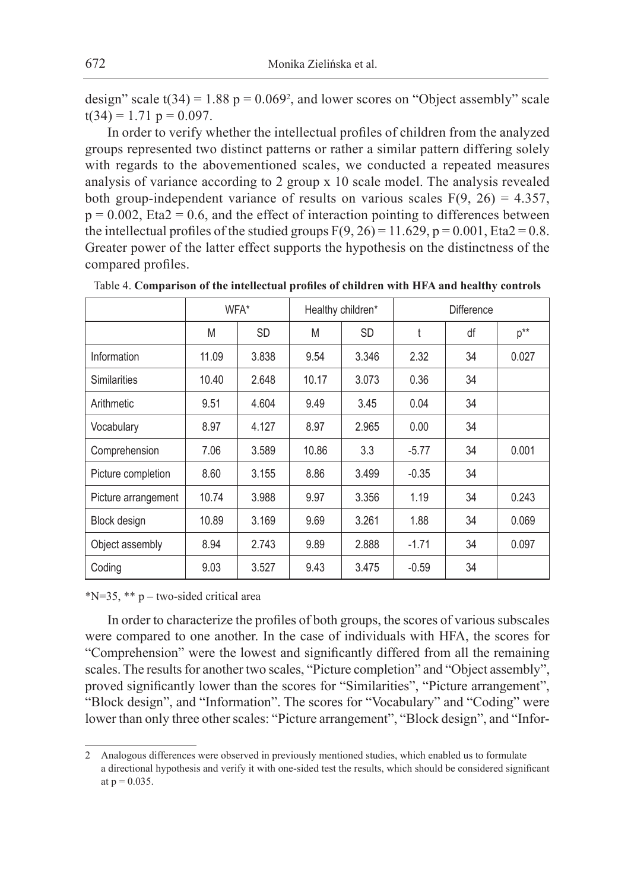design" scale  $t(34) = 1.88$  p = 0.069<sup>2</sup>, and lower scores on "Object assembly" scale  $t(34) = 1.71$  p = 0.097.

In order to verify whether the intellectual profiles of children from the analyzed groups represented two distinct patterns or rather a similar pattern differing solely with regards to the abovementioned scales, we conducted a repeated measures analysis of variance according to 2 group x 10 scale model. The analysis revealed both group-independent variance of results on various scales  $F(9, 26) = 4.357$ ,  $p = 0.002$ , Eta2 = 0.6, and the effect of interaction pointing to differences between the intellectual profiles of the studied groups  $F(9, 26) = 11.629$ ,  $p = 0.001$ , Eta2 = 0.8. Greater power of the latter effect supports the hypothesis on the distinctness of the compared profiles.

|                     |       | WFA*      |       | Healthy children* |         |    |          |
|---------------------|-------|-----------|-------|-------------------|---------|----|----------|
|                     | M     | <b>SD</b> | M     | <b>SD</b>         | t       | df | $p^{**}$ |
| Information         | 11.09 | 3.838     | 9.54  | 3.346             | 2.32    | 34 | 0.027    |
| <b>Similarities</b> | 10.40 | 2.648     | 10.17 | 3.073             | 0.36    | 34 |          |
| Arithmetic          | 9.51  | 4.604     | 9.49  | 3.45              | 0.04    | 34 |          |
| Vocabulary          | 8.97  | 4.127     | 8.97  | 2.965             | 0.00    | 34 |          |
| Comprehension       | 7.06  | 3.589     | 10.86 | 3.3               | $-5.77$ | 34 | 0.001    |
| Picture completion  | 8.60  | 3.155     | 8.86  | 3.499             | $-0.35$ | 34 |          |
| Picture arrangement | 10.74 | 3.988     | 9.97  | 3.356             | 1.19    | 34 | 0.243    |
| <b>Block design</b> | 10.89 | 3.169     | 9.69  | 3.261             | 1.88    | 34 | 0.069    |
| Object assembly     | 8.94  | 2.743     | 9.89  | 2.888             | $-1.71$ | 34 | 0.097    |
| Coding              | 9.03  | 3.527     | 9.43  | 3.475             | $-0.59$ | 34 |          |

Table 4. **Comparison of the intellectual profiles of children with HFA and healthy controls**

 $*N=35$ ,  $** p$  – two-sided critical area

In order to characterize the profiles of both groups, the scores of various subscales were compared to one another. In the case of individuals with HFA, the scores for "Comprehension" were the lowest and significantly differed from all the remaining scales. The results for another two scales, "Picture completion" and "Object assembly", proved significantly lower than the scores for "Similarities", "Picture arrangement", "Block design", and "Information". The scores for "Vocabulary" and "Coding" were lower than only three other scales: "Picture arrangement", "Block design", and "Infor-

<sup>2</sup> Analogous differences were observed in previously mentioned studies, which enabled us to formulate a directional hypothesis and verify it with one-sided test the results, which should be considered significant at  $p = 0.035$ .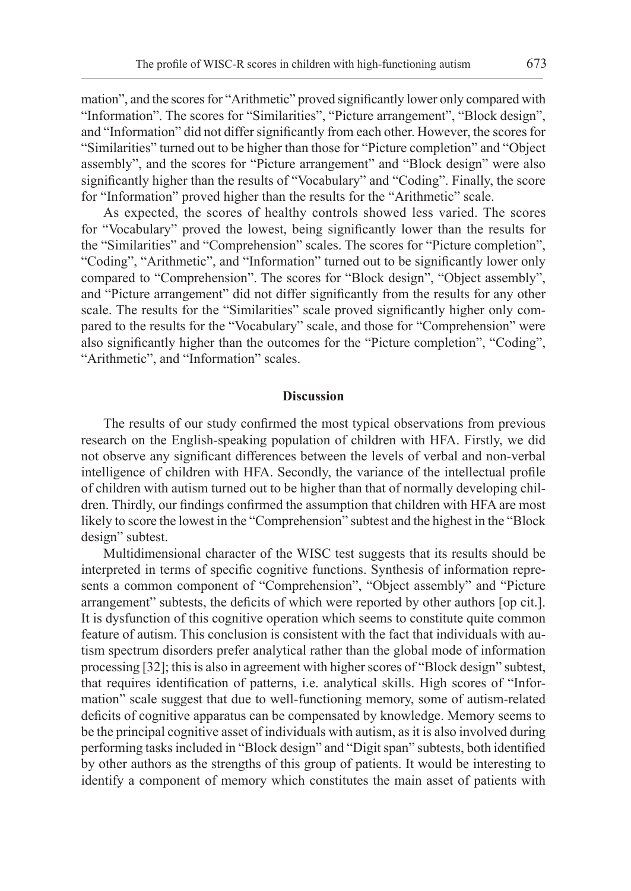mation", and the scores for "Arithmetic" proved significantly lower only compared with "Information". The scores for "Similarities", "Picture arrangement", "Block design", and "Information" did not differ significantly from each other. However, the scores for "Similarities" turned out to be higher than those for "Picture completion" and "Object assembly", and the scores for "Picture arrangement" and "Block design" were also significantly higher than the results of "Vocabulary" and "Coding". Finally, the score for "Information" proved higher than the results for the "Arithmetic" scale.

As expected, the scores of healthy controls showed less varied. The scores for "Vocabulary" proved the lowest, being significantly lower than the results for the "Similarities" and "Comprehension" scales. The scores for "Picture completion", "Coding", "Arithmetic", and "Information" turned out to be significantly lower only compared to "Comprehension". The scores for "Block design", "Object assembly", and "Picture arrangement" did not differ significantly from the results for any other scale. The results for the "Similarities" scale proved significantly higher only compared to the results for the "Vocabulary" scale, and those for "Comprehension" were also significantly higher than the outcomes for the "Picture completion", "Coding", "Arithmetic", and "Information" scales.

### **Discussion**

The results of our study confirmed the most typical observations from previous research on the English-speaking population of children with HFA. Firstly, we did not observe any significant differences between the levels of verbal and non-verbal intelligence of children with HFA. Secondly, the variance of the intellectual profile of children with autism turned out to be higher than that of normally developing children. Thirdly, our findings confirmed the assumption that children with HFA are most likely to score the lowest in the "Comprehension" subtest and the highest in the "Block design" subtest.

Multidimensional character of the WISC test suggests that its results should be interpreted in terms of specific cognitive functions. Synthesis of information represents a common component of "Comprehension", "Object assembly" and "Picture arrangement" subtests, the deficits of which were reported by other authors [op cit.]. It is dysfunction of this cognitive operation which seems to constitute quite common feature of autism. This conclusion is consistent with the fact that individuals with autism spectrum disorders prefer analytical rather than the global mode of information processing [32]; this is also in agreement with higher scores of "Block design" subtest, that requires identification of patterns, i.e. analytical skills. High scores of "Information" scale suggest that due to well-functioning memory, some of autism-related deficits of cognitive apparatus can be compensated by knowledge. Memory seems to be the principal cognitive asset of individuals with autism, as it is also involved during performing tasks included in "Block design" and "Digit span" subtests, both identified by other authors as the strengths of this group of patients. It would be interesting to identify a component of memory which constitutes the main asset of patients with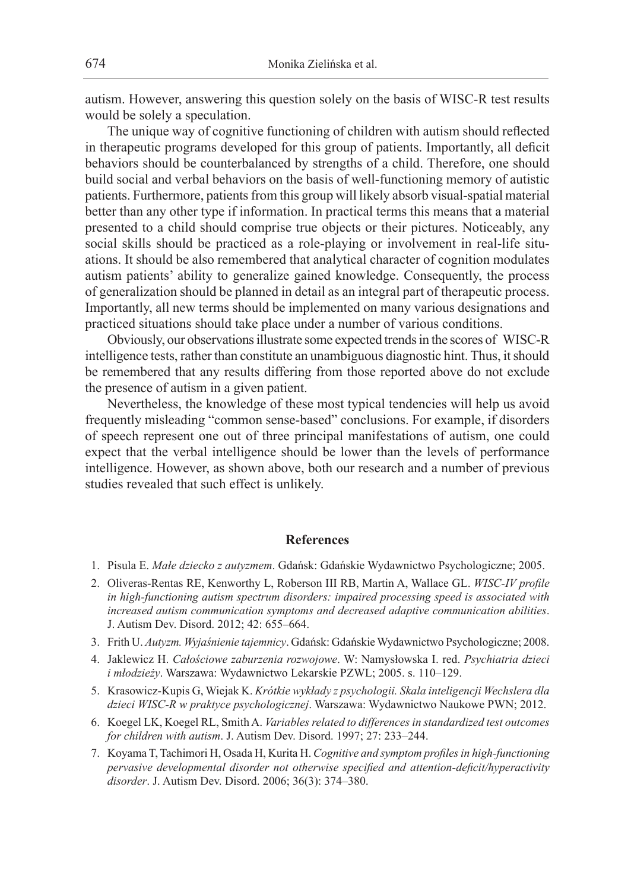autism. However, answering this question solely on the basis of WISC-R test results would be solely a speculation.

The unique way of cognitive functioning of children with autism should reflected in therapeutic programs developed for this group of patients. Importantly, all deficit behaviors should be counterbalanced by strengths of a child. Therefore, one should build social and verbal behaviors on the basis of well-functioning memory of autistic patients. Furthermore, patients from this group will likely absorb visual-spatial material better than any other type if information. In practical terms this means that a material presented to a child should comprise true objects or their pictures. Noticeably, any social skills should be practiced as a role-playing or involvement in real-life situations. It should be also remembered that analytical character of cognition modulates autism patients' ability to generalize gained knowledge. Consequently, the process of generalization should be planned in detail as an integral part of therapeutic process. Importantly, all new terms should be implemented on many various designations and practiced situations should take place under a number of various conditions.

Obviously, our observations illustrate some expected trends in the scores of WISC-R intelligence tests, rather than constitute an unambiguous diagnostic hint. Thus, it should be remembered that any results differing from those reported above do not exclude the presence of autism in a given patient.

Nevertheless, the knowledge of these most typical tendencies will help us avoid frequently misleading "common sense-based" conclusions. For example, if disorders of speech represent one out of three principal manifestations of autism, one could expect that the verbal intelligence should be lower than the levels of performance intelligence. However, as shown above, both our research and a number of previous studies revealed that such effect is unlikely.

#### **References**

- 1. Pisula E. *Małe dziecko z autyzmem*. Gdańsk: Gdańskie Wydawnictwo Psychologiczne; 2005.
- 2. Oliveras-Rentas RE, Kenworthy L, Roberson III RB, Martin A, Wallace GL. *WISC-IV profile in high-functioning autism spectrum disorders: impaired processing speed is associated with increased autism communication symptoms and decreased adaptive communication abilities*. J. Autism Dev. Disord. 2012; 42: 655–664.
- 3. Frith U. *Autyzm. Wyjaśnienie tajemnicy*. Gdańsk: Gdańskie Wydawnictwo Psychologiczne; 2008.
- 4. Jaklewicz H. *Całościowe zaburzenia rozwojowe*. W: Namysłowska I. red. *Psychiatria dzieci i młodzieży*. Warszawa: Wydawnictwo Lekarskie PZWL; 2005. s. 110–129.
- 5. Krasowicz-Kupis G, Wiejak K. *Krótkie wykłady z psychologii. Skala inteligencji Wechslera dla dzieci WISC-R w praktyce psychologicznej*. Warszawa: Wydawnictwo Naukowe PWN; 2012.
- 6. Koegel LK, Koegel RL, Smith A. *Variables related to differences in standardized test outcomes for children with autism*. J. Autism Dev. Disord. 1997; 27: 233–244.
- 7. Koyama T, Tachimori H, Osada H, Kurita H. *Cognitive and symptom profiles in high-functioning pervasive developmental disorder not otherwise specified and attention-deficit/hyperactivity disorder*. J. Autism Dev. Disord. 2006; 36(3): 374–380.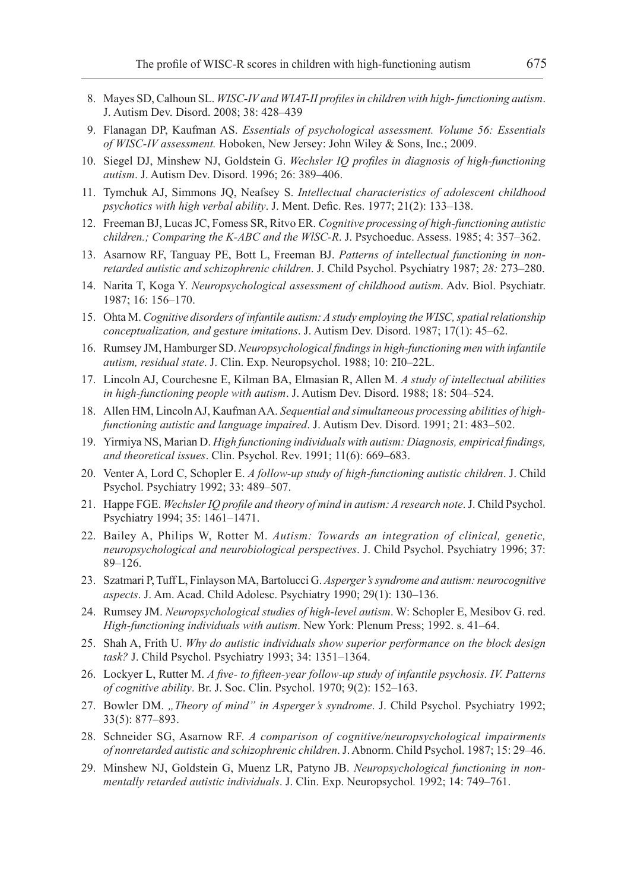- 8. Mayes SD, Calhoun SL. *WISC-IV and WIAT-II profiles in children with high- functioning autism*. J. Autism Dev. Disord. 2008; 38: 428–439
- 9. Flanagan DP, Kaufman AS. *Essentials of psychological assessment. Volume 56: Essentials of WISC-IV assessment.* Hoboken, New Jersey: John Wiley & Sons, Inc.; 2009.
- 10. Siegel DJ, Minshew NJ, Goldstein G. *Wechsler IQ profiles in diagnosis of high-functioning autism*. J. Autism Dev. Disord. 1996; 26: 389–406.
- 11. Tymchuk AJ, Simmons JQ, Neafsey S. *Intellectual characteristics of adolescent childhood psychotics with high verbal ability*. J. Ment. Defic. Res. 1977; 21(2): 133–138.
- 12. Freeman BJ, Lucas JC, Fomess SR, Ritvo ER. *Cognitive processing of high-functioning autistic children.; Comparing the K-ABC and the WlSC-R*. J. Psychoeduc. Assess. 1985; 4: 357–362.
- 13. Asarnow RF, Tanguay PE, Bott L, Freeman BJ. *Patterns of intellectual functioning in nonretarded autistic and schizophrenic children*. J. Child Psychol. Psychiatry 1987; *28:* 273–280.
- 14. Narita T, Koga Y. *Neuropsychological assessment of childhood autism*. Adv. Biol. Psychiatr. 1987; 16: 156–170.
- 15. Ohta M. *Cognitive disorders of infantile autism: A study employing the WISC, spatial relationship conceptualization, and gesture imitations*. J. Autism Dev. Disord. 1987; 17(1): 45–62.
- 16. Rumsey JM, Hamburger SD. *Neuropsychological findings in high-functioning men with infantile autism, residual state*. J. Clin. Exp. Neuropsychol. 1988; 10: 2I0–22L.
- 17. Lincoln AJ, Courchesne E, Kilman BA, Elmasian R, Allen M. *A study of intellectual abilities in high-functioning people with autism*. J. Autism Dev. Disord. 1988; 18: 504–524.
- 18. Allen HM, Lincoln AJ, Kaufman AA. *Sequential and simultaneous processing abilities of highfunctioning autistic and language impaired*. J. Autism Dev. Disord. 1991; 21: 483–502.
- 19. Yirmiya NS, Marian D. *High functioning individuals with autism: Diagnosis, empirical findings, and theoretical issues*. Clin. Psychol. Rev. 1991; 11(6): 669–683.
- 20. Venter A, Lord C, Schopler E. *A follow-up study of high-functioning autistic children*. J. Child Psychol. Psychiatry 1992; 33: 489–507.
- 21. Happe FGE. *Wechsler IQ profile and theory of mind in autism: A research note*. J. Child Psychol. Psychiatry 1994; 35: 1461–1471.
- 22. Bailey A, Philips W, Rotter M. *Autism: Towards an integration of clinical, genetic, neuropsychological and neurobiological perspectives*. J. Child Psychol. Psychiatry 1996; 37: 89–126.
- 23. Szatmari P, Tuff L, Finlayson MA, Bartolucci G. *Asperger's syndrome and autism: neurocognitive aspects*. J. Am. Acad. Child Adolesc. Psychiatry 1990; 29(1): 130–136.
- 24. Rumsey JM. *Neuropsychological studies of high-level autism*. W: Schopler E, Mesibov G. red. *High-functioning individuals with autism*. New York: Plenum Press; 1992. s. 41–64.
- 25. Shah A, Frith U. *Why do autistic individuals show superior performance on the block design task?* J. Child Psychol. Psychiatry 1993; 34: 1351–1364.
- 26. Lockyer L, Rutter M. *A five- to fifteen-year follow-up study of infantile psychosis. IV. Patterns of cognitive ability*. Br. J. Soc. Clin. Psychol. 1970; 9(2): 152–163.
- 27. Bowler DM. *"Theory of mind" in Asperger's syndrome*. J. Child Psychol. Psychiatry 1992; 33(5): 877–893.
- 28. Schneider SG, Asarnow RF. *A comparison of cognitive/neuropsychological impairments of nonretarded autistic and schizophrenic children*. J. Abnorm. Child Psychol. 1987; 15: 29–46.
- 29. Minshew NJ, Goldstein G, Muenz LR, Patyno JB. *Neuropsychological functioning in nonmentally retarded autistic individuals*. J. Clin. Exp. Neuropsychol*.* 1992; 14: 749–761.